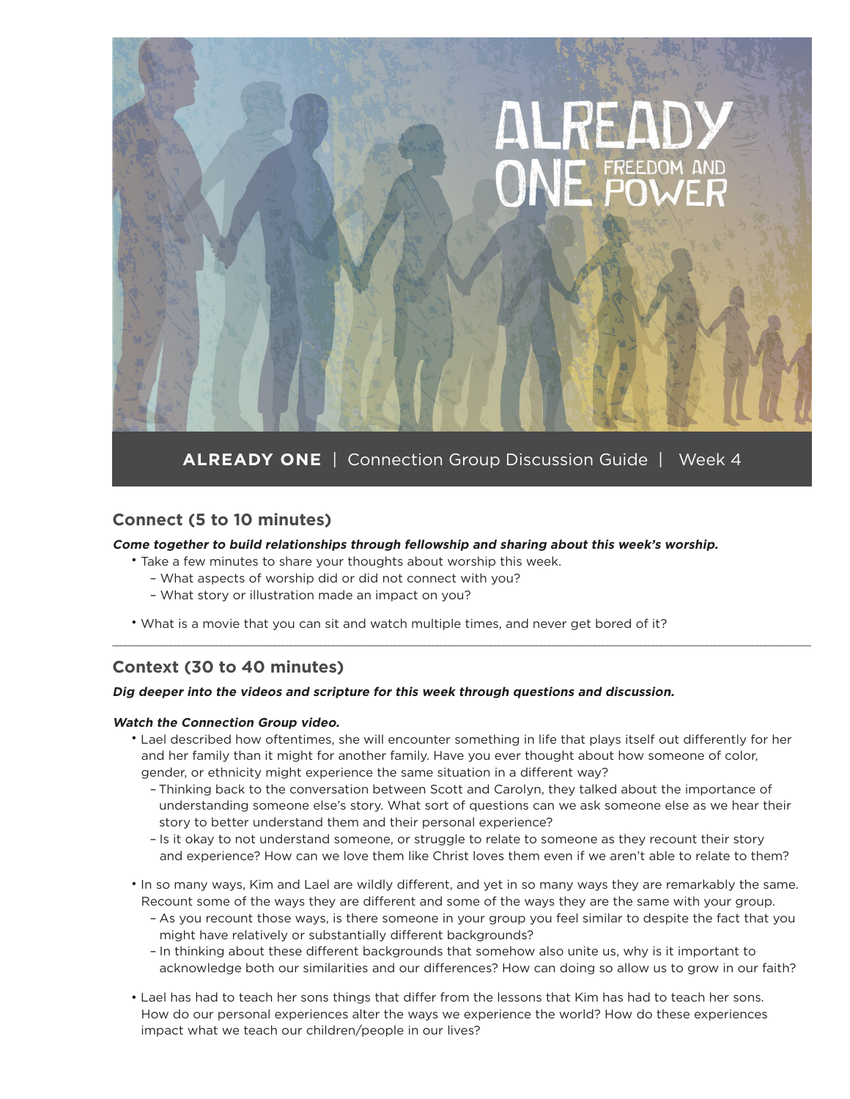

**ALREADY ONE** | Connection Group Discussion Guide | Week 4

# **Connect (5 to 10 minutes)**

#### **Come together to build relationships through fellowship and sharing about this week's worship.**

- Take a few minutes to share your thoughts about worship this week.
	- What aspects of worship did or did not connect with you?
	- What story or illustration made an impact on you?
- What is a movie that you can sit and watch multiple times, and never get bored of it?

## **Context (30 to 40 minutes)**

#### **Dig deeper into the videos and scripture for this week through questions and discussion.**

#### **Watch the Connection Group video.**

• Lael described how oftentimes, she will encounter something in life that plays itself out differently for her and her family than it might for another family. Have you ever thought about how someone of color, gender, or ethnicity might experience the same situation in a different way?

\_\_\_\_\_\_\_\_\_\_\_\_\_\_\_\_\_\_\_\_\_\_\_\_\_\_\_\_\_\_\_\_\_\_\_\_\_\_\_\_\_\_\_\_\_\_\_\_\_\_\_\_\_\_\_\_\_\_\_\_\_\_\_\_\_\_\_\_\_\_\_\_\_\_\_\_\_\_\_\_\_\_\_\_\_\_\_\_\_\_\_\_\_\_\_\_\_\_\_\_\_\_\_\_\_\_\_\_\_\_\_\_\_\_\_\_\_\_\_\_\_\_\_\_\_\_\_\_\_\_\_\_\_\_\_\_\_\_\_\_\_\_\_\_\_\_\_\_\_\_\_\_\_\_\_\_\_\_\_\_\_\_\_\_\_\_\_\_

- Thinking back to the conversation between Scott and Carolyn, they talked about the importance of understanding someone else's story. What sort of questions can we ask someone else as we hear their story to better understand them and their personal experience?
- Is it okay to not understand someone, or struggle to relate to someone as they recount their story and experience? How can we love them like Christ loves them even if we aren't able to relate to them?
- In so many ways, Kim and Lael are wildly different, and yet in so many ways they are remarkably the same. Recount some of the ways they are different and some of the ways they are the same with your group.
	- As you recount those ways, is there someone in your group you feel similar to despite the fact that you might have relatively or substantially different backgrounds?
	- In thinking about these different backgrounds that somehow also unite us, why is it important to acknowledge both our similarities and our differences? How can doing so allow us to grow in our faith?
- Lael has had to teach her sons things that differ from the lessons that Kim has had to teach her sons. How do our personal experiences alter the ways we experience the world? How do these experiences impact what we teach our children/people in our lives?